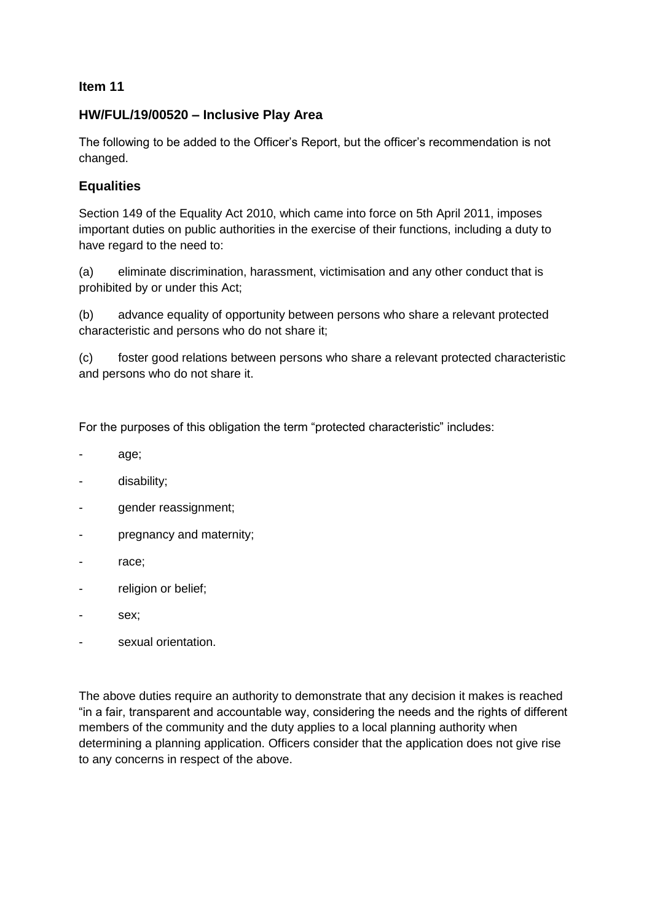## **Item 11**

## **HW/FUL/19/00520 – Inclusive Play Area**

The following to be added to the Officer's Report, but the officer's recommendation is not changed.

## **Equalities**

Section 149 of the Equality Act 2010, which came into force on 5th April 2011, imposes important duties on public authorities in the exercise of their functions, including a duty to have regard to the need to:

(a) eliminate discrimination, harassment, victimisation and any other conduct that is prohibited by or under this Act;

(b) advance equality of opportunity between persons who share a relevant protected characteristic and persons who do not share it;

(c) foster good relations between persons who share a relevant protected characteristic and persons who do not share it.

For the purposes of this obligation the term "protected characteristic" includes:

- age;
- disability;
- gender reassignment;
- pregnancy and maternity;
- race:
- religion or belief;
- sex:
- sexual orientation.

The above duties require an authority to demonstrate that any decision it makes is reached "in a fair, transparent and accountable way, considering the needs and the rights of different members of the community and the duty applies to a local planning authority when determining a planning application. Officers consider that the application does not give rise to any concerns in respect of the above.